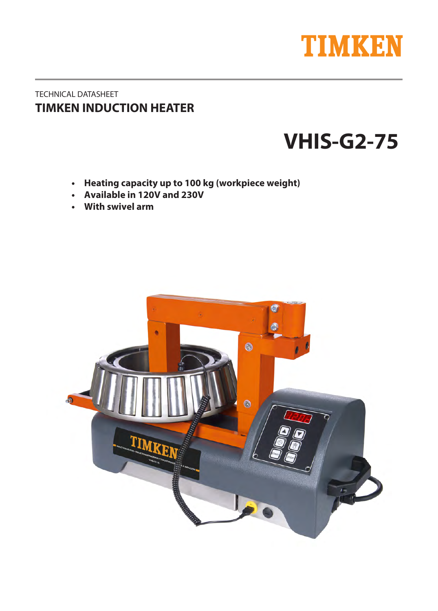

## TECHNICAL DATASHEET **TIMKEN INDUCTION HEATER**

# **VHI4-G2**

- **•** Heating capacity up to 100 kg (workpiece weight)
- **Available in 120V and 230V**
- With swivel arm